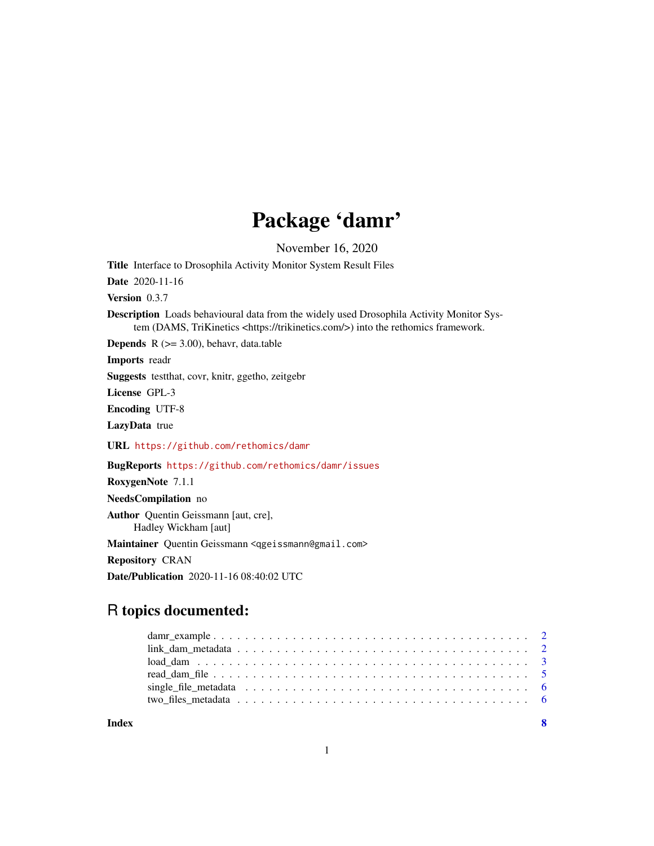## Package 'damr'

November 16, 2020

<span id="page-0-0"></span>Title Interface to Drosophila Activity Monitor System Result Files

Date 2020-11-16

Version 0.3.7

Description Loads behavioural data from the widely used Drosophila Activity Monitor System (DAMS, TriKinetics <https://trikinetics.com/>) into the rethomics framework.

**Depends**  $R$  ( $>= 3.00$ ), behavr, data.table

Imports readr

Suggests testthat, covr, knitr, ggetho, zeitgebr

License GPL-3

Encoding UTF-8

LazyData true

URL <https://github.com/rethomics/damr>

BugReports <https://github.com/rethomics/damr/issues>

RoxygenNote 7.1.1

NeedsCompilation no

Author Quentin Geissmann [aut, cre], Hadley Wickham [aut]

Maintainer Quentin Geissmann <qgeissmann@gmail.com>

Repository CRAN

Date/Publication 2020-11-16 08:40:02 UTC

## R topics documented:

**Index** [8](#page-7-0) **8**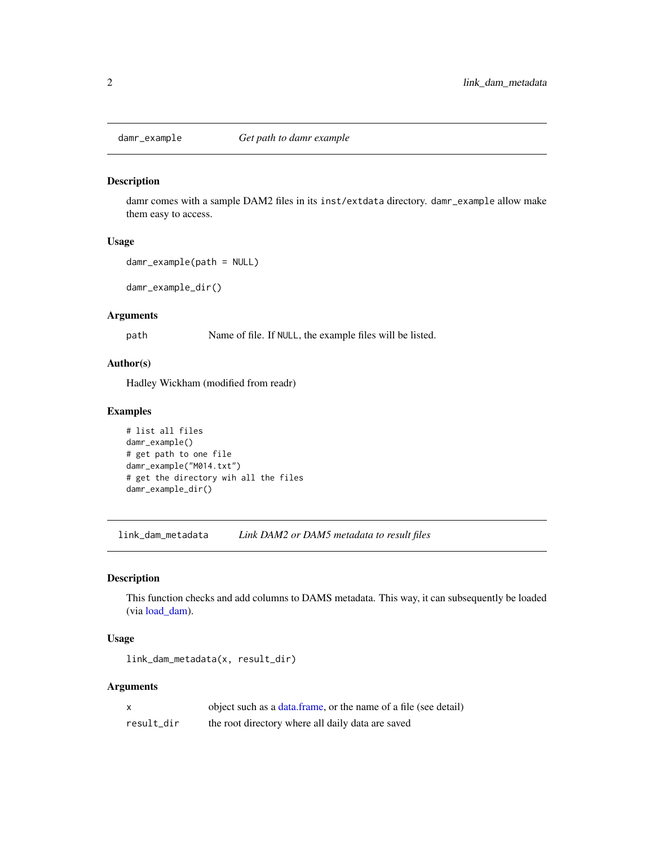<span id="page-1-0"></span>

#### Description

damr comes with a sample DAM2 files in its inst/extdata directory. damr\_example allow make them easy to access.

#### Usage

```
damr_example(path = NULL)
```
damr\_example\_dir()

#### Arguments

path Name of file. If NULL, the example files will be listed.

#### Author(s)

Hadley Wickham (modified from readr)

#### Examples

```
# list all files
damr_example()
# get path to one file
damr_example("M014.txt")
# get the directory wih all the files
damr_example_dir()
```
<span id="page-1-1"></span>link\_dam\_metadata *Link DAM2 or DAM5 metadata to result files*

#### Description

This function checks and add columns to DAMS metadata. This way, it can subsequently be loaded (via [load\\_dam\)](#page-2-1).

#### Usage

```
link_dam_metadata(x, result_dir)
```
#### Arguments

| x          | object such as a data.frame, or the name of a file (see detail) |
|------------|-----------------------------------------------------------------|
| result dir | the root directory where all daily data are saved               |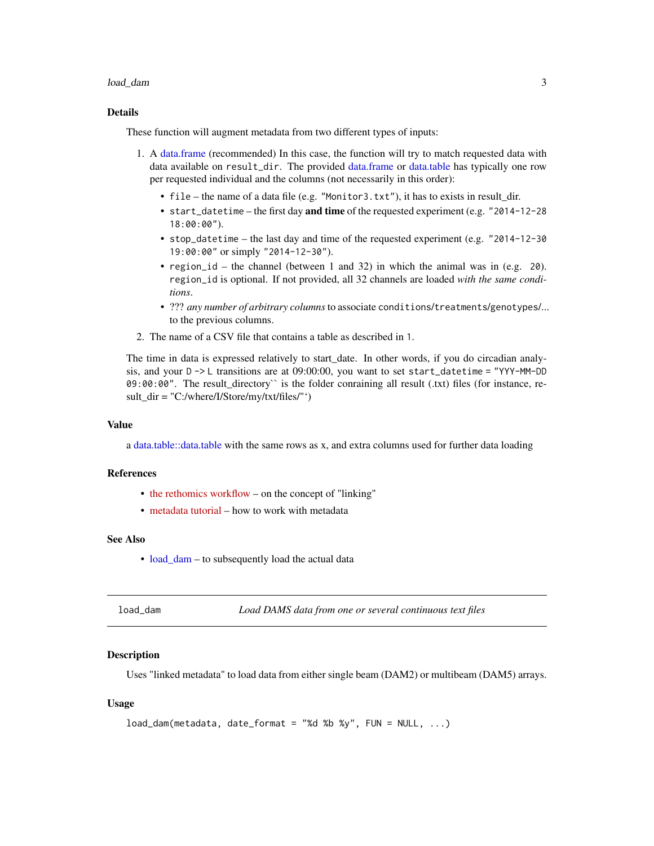#### <span id="page-2-0"></span>load\_dam 3

#### Details

These function will augment metadata from two different types of inputs:

- 1. A [data.frame](#page-0-0) (recommended) In this case, the function will try to match requested data with data available on result\_dir. The provided [data.frame](#page-0-0) or [data.table](#page-0-0) has typically one row per requested individual and the columns (not necessarily in this order):
	- file the name of a data file (e.g. "Monitor3.txt"), it has to exists in result\_dir.
	- start\_datetime the first day and time of the requested experiment (e.g. "2014-12-28 18:00:00").
	- stop\_datetime the last day and time of the requested experiment (e.g. "2014-12-30 19:00:00" or simply "2014-12-30").
	- region\_id the channel (between 1 and 32) in which the animal was in (e.g. 20). region\_id is optional. If not provided, all 32 channels are loaded *with the same conditions*.
	- ??? *any number of arbitrary columns*to associate conditions/treatments/genotypes/... to the previous columns.
- 2. The name of a CSV file that contains a table as described in 1.

The time in data is expressed relatively to start\_date. In other words, if you do circadian analysis, and your  $D \rightarrow L$  transitions are at 09:00:00, you want to set start\_datetime = "YYY-MM-DD 09:00:00". The result\_directory`` is the folder conraining all result (.txt) files (for instance, result  $dir = "C:/where/I/Store/my/txt/files/"')$ 

#### Value

a [data.table::data.table](#page-0-0) with the same rows as x, and extra columns used for further data loading

#### References

- [the rethomics workflow](https://rethomics.github.io/workflow.html) on the concept of "linking"
- [metadata tutorial](https://rethomics.github.io/metadata.html) how to work with metadata

#### See Also

• [load\\_dam](#page-2-1) – to subsequently load the actual data

<span id="page-2-1"></span>load\_dam *Load DAMS data from one or several continuous text files*

#### Description

Uses "linked metadata" to load data from either single beam (DAM2) or multibeam (DAM5) arrays.

#### Usage

```
load\_dam(metadata, date_format = "d %s %s %s" , <b>Flow = NULL</b>, ... )
```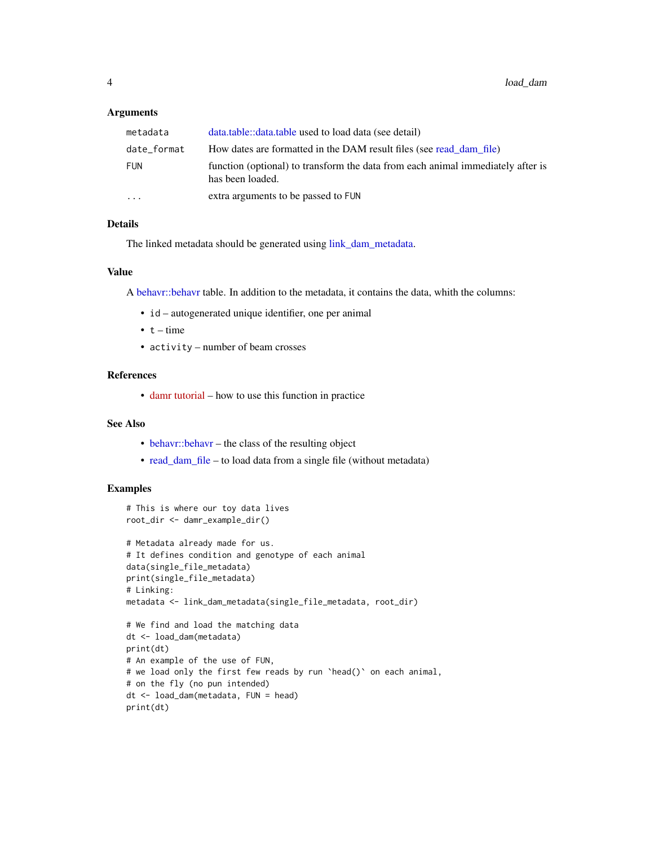#### <span id="page-3-0"></span>Arguments

| metadata    | data.table::data.table used to load data (see detail)                                               |
|-------------|-----------------------------------------------------------------------------------------------------|
| date_format | How dates are formatted in the DAM result files (see read dam file)                                 |
| FUN         | function (optional) to transform the data from each animal immediately after is<br>has been loaded. |
| $\ddotsc$   | extra arguments to be passed to FUN                                                                 |

#### Details

The linked metadata should be generated using [link\\_dam\\_metadata.](#page-1-1)

#### Value

A [behavr::behavr](#page-0-0) table. In addition to the metadata, it contains the data, whith the columns:

- id autogenerated unique identifier, one per animal
- $\bullet$  t time
- activity number of beam crosses

#### References

• [damr tutorial](https://rethomics.github.io/damr.html) – how to use this function in practice

#### See Also

- [behavr::behavr](#page-0-0) the class of the resulting object
- [read\\_dam\\_file](#page-4-1) to load data from a single file (without metadata)

#### Examples

```
# This is where our toy data lives
root_dir <- damr_example_dir()
# Metadata already made for us.
# It defines condition and genotype of each animal
data(single_file_metadata)
print(single_file_metadata)
# Linking:
metadata <- link_dam_metadata(single_file_metadata, root_dir)
# We find and load the matching data
dt <- load_dam(metadata)
print(dt)
# An example of the use of FUN,
# we load only the first few reads by run `head()` on each animal,
# on the fly (no pun intended)
dt <- load_dam(metadata, FUN = head)
print(dt)
```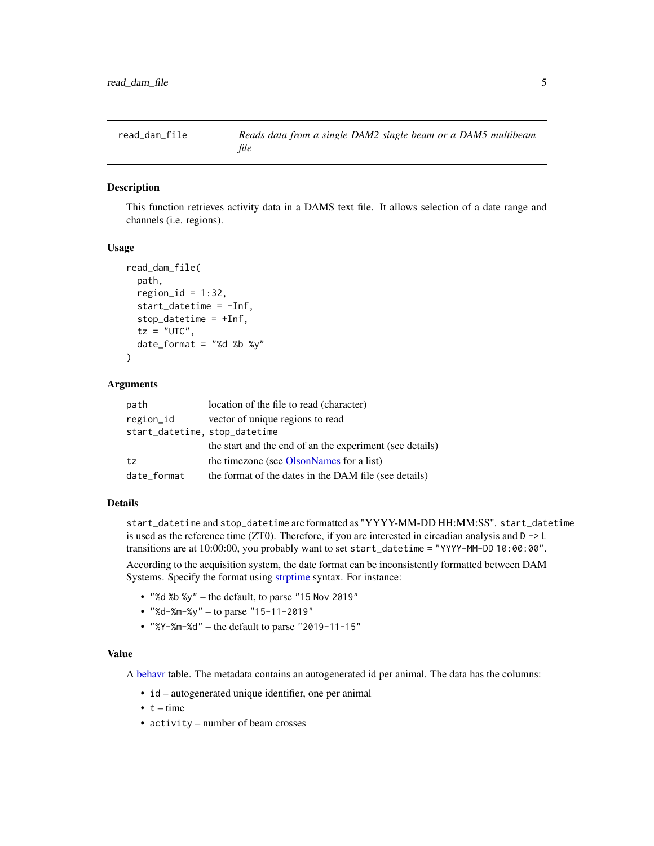<span id="page-4-1"></span><span id="page-4-0"></span>

#### Description

This function retrieves activity data in a DAMS text file. It allows selection of a date range and channels (i.e. regions).

#### Usage

```
read_dam_file(
 path,
  region_id = 1:32,start_datetime = -Inf,
  stop_datetime = +Inf,
  tz = "UTC",date_format = "Xd %b %y")
```
#### Arguments

| path                          | location of the file to read (character)                 |
|-------------------------------|----------------------------------------------------------|
| region_id                     | vector of unique regions to read                         |
| start_datetime, stop_datetime |                                                          |
|                               | the start and the end of an the experiment (see details) |
| tz                            | the timezone (see OlsonNames for a list)                 |
| date_format                   | the format of the dates in the DAM file (see details)    |

#### Details

start\_datetime and stop\_datetime are formatted as "YYYY-MM-DD HH:MM:SS". start\_datetime is used as the reference time (ZT0). Therefore, if you are interested in circadian analysis and  $D \rightarrow L$ transitions are at 10:00:00, you probably want to set start\_datetime = "YYYY-MM-DD 10:00:00".

According to the acquisition system, the date format can be inconsistently formatted between DAM Systems. Specify the format using [strptime](#page-0-0) syntax. For instance:

- "%d %b %y" the default, to parse "15 Nov 2019"
- "%d-%m-%y" to parse "15-11-2019"
- "%Y-%m-%d" the default to parse "2019-11-15"

#### Value

A [behavr](#page-0-0) table. The metadata contains an autogenerated id per animal. The data has the columns:

- id autogenerated unique identifier, one per animal
- $\cdot t$  time
- activity number of beam crosses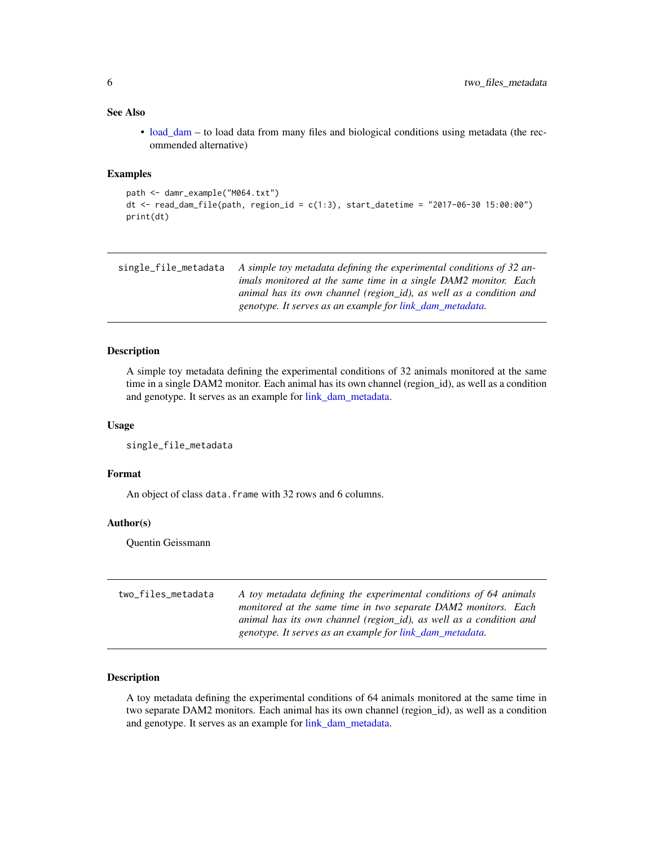#### <span id="page-5-0"></span>See Also

• [load\\_dam](#page-2-1) – to load data from many files and biological conditions using metadata (the recommended alternative)

#### Examples

```
path <- damr_example("M064.txt")
dt <- read_dam_file(path, region_id = c(1:3), start_datetime = "2017-06-30 15:00:00")
print(dt)
```

| single file metadata | A simple toy metadata defining the experimental conditions of 32 an- |
|----------------------|----------------------------------------------------------------------|
|                      | imals monitored at the same time in a single DAM2 monitor. Each      |
|                      | animal has its own channel (region id), as well as a condition and   |
|                      | genotype. It serves as an example for link dam metadata.             |

#### Description

A simple toy metadata defining the experimental conditions of 32 animals monitored at the same time in a single DAM2 monitor. Each animal has its own channel (region\_id), as well as a condition and genotype. It serves as an example for [link\\_dam\\_metadata.](#page-1-1)

#### Usage

single\_file\_metadata

#### Format

An object of class data. frame with 32 rows and 6 columns.

#### Author(s)

Quentin Geissmann

| two_files_metadata | A toy metadata defining the experimental conditions of 64 animals  |
|--------------------|--------------------------------------------------------------------|
|                    | monitored at the same time in two separate DAM2 monitors. Each     |
|                    | animal has its own channel (region_id), as well as a condition and |
|                    | genotype. It serves as an example for link_dam_metadata.           |

#### Description

A toy metadata defining the experimental conditions of 64 animals monitored at the same time in two separate DAM2 monitors. Each animal has its own channel (region\_id), as well as a condition and genotype. It serves as an example for [link\\_dam\\_metadata.](#page-1-1)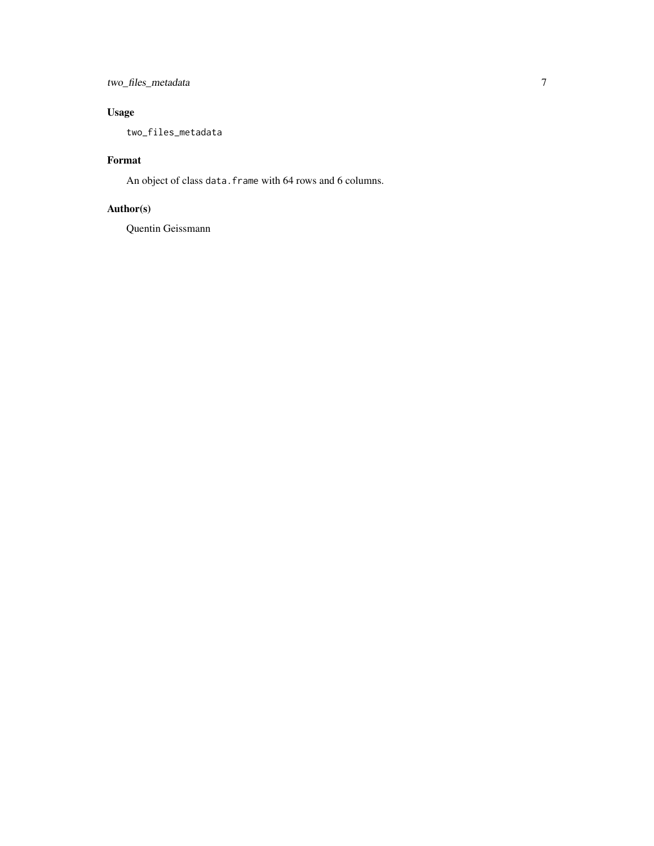### two\_files\_metadata 7

## Usage

two\_files\_metadata

## Format

An object of class data.frame with 64 rows and 6 columns.

## Author(s)

Quentin Geissmann